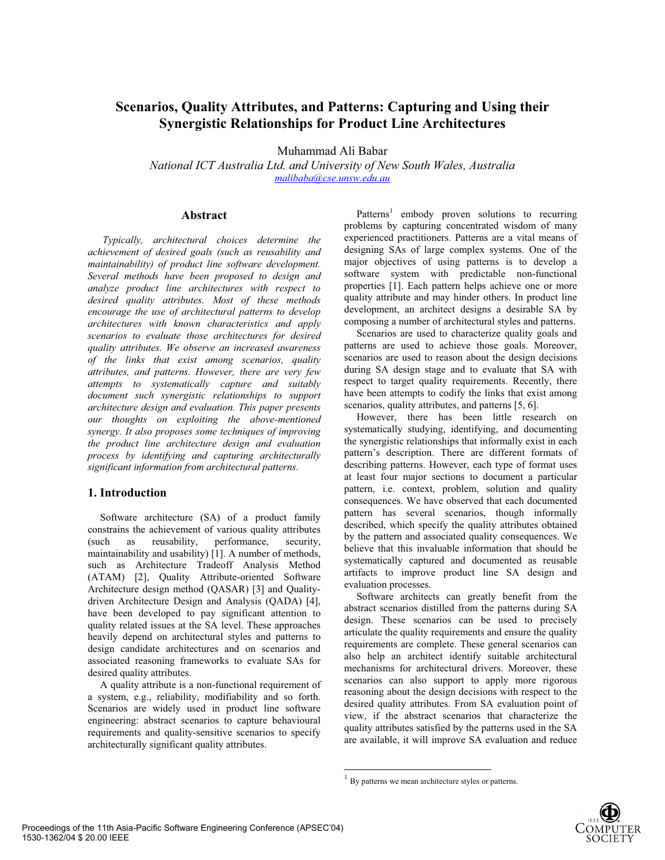# **Scenarios, Quality Attributes, and Patterns: Capturing and Using their Synergistic Relationships for Product Line Architectures**

Muhammad Ali Babar

*National ICT Australia Ltd. and University of New South Wales, Australia malibaba@cse.unsw.edu.au*

#### **Abstract**

 *Typically, architectural choices determine the achievement of desired goals (such as reusability and maintainability) of product line software development. Several methods have been proposed to design and analyze product line architectures with respect to desired quality attributes. Most of these methods encourage the use of architectural patterns to develop architectures with known characteristics and apply scenarios to evaluate those architectures for desired quality attributes. We observe an increased awareness of the links that exist among scenarios, quality attributes, and patterns. However, there are very few attempts to systematically capture and suitably document such synergistic relationships to support architecture design and evaluation. This paper presents our thoughts on exploiting the above-mentioned synergy. It also proposes some techniques of improving the product line architecture design and evaluation process by identifying and capturing architecturally significant information from architectural patterns.* 

#### **1. Introduction**

Software architecture (SA) of a product family constrains the achievement of various quality attributes (such as reusability, performance, security, maintainability and usability) [1]. A number of methods, such as Architecture Tradeoff Analysis Method (ATAM) [2], Quality Attribute-oriented Software Architecture design method (QASAR) [3] and Qualitydriven Architecture Design and Analysis (QADA) [4], have been developed to pay significant attention to quality related issues at the SA level. These approaches heavily depend on architectural styles and patterns to design candidate architectures and on scenarios and associated reasoning frameworks to evaluate SAs for desired quality attributes.

A quality attribute is a non-functional requirement of a system, e.g., reliability, modifiability and so forth. Scenarios are widely used in product line software engineering: abstract scenarios to capture behavioural requirements and quality-sensitive scenarios to specify architecturally significant quality attributes.

Patterns<sup>1</sup> embody proven solutions to recurring problems by capturing concentrated wisdom of many experienced practitioners. Patterns are a vital means of designing SAs of large complex systems. One of the major objectives of using patterns is to develop a software system with predictable non-functional properties [1]. Each pattern helps achieve one or more quality attribute and may hinder others. In product line development, an architect designs a desirable SA by composing a number of architectural styles and patterns.

Scenarios are used to characterize quality goals and patterns are used to achieve those goals. Moreover, scenarios are used to reason about the design decisions during SA design stage and to evaluate that SA with respect to target quality requirements. Recently, there have been attempts to codify the links that exist among scenarios, quality attributes, and patterns [5, 6].

However, there has been little research on systematically studying, identifying, and documenting the synergistic relationships that informally exist in each pattern's description. There are different formats of describing patterns. However, each type of format uses at least four major sections to document a particular pattern, i.e. context, problem, solution and quality consequences. We have observed that each documented pattern has several scenarios, though informally described, which specify the quality attributes obtained by the pattern and associated quality consequences. We believe that this invaluable information that should be systematically captured and documented as reusable artifacts to improve product line SA design and evaluation processes.

Software architects can greatly benefit from the abstract scenarios distilled from the patterns during SA design. These scenarios can be used to precisely articulate the quality requirements and ensure the quality requirements are complete. These general scenarios can also help an architect identify suitable architectural mechanisms for architectural drivers. Moreover, these scenarios can also support to apply more rigorous reasoning about the design decisions with respect to the desired quality attributes. From SA evaluation point of view, if the abstract scenarios that characterize the quality attributes satisfied by the patterns used in the SA are available, it will improve SA evaluation and reduce

 $\overline{\phantom{0}}$ 



 $1<sup>1</sup>$  By patterns we mean architecture styles or patterns.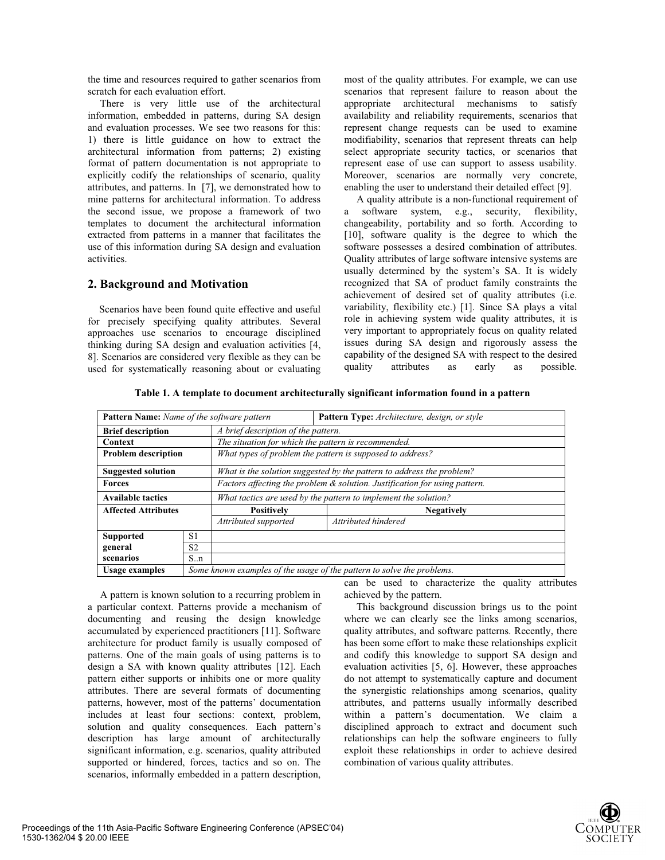the time and resources required to gather scenarios from scratch for each evaluation effort.

There is very little use of the architectural information, embedded in patterns, during SA design and evaluation processes. We see two reasons for this: 1) there is little guidance on how to extract the architectural information from patterns; 2) existing format of pattern documentation is not appropriate to explicitly codify the relationships of scenario, quality attributes, and patterns. In [7], we demonstrated how to mine patterns for architectural information. To address the second issue, we propose a framework of two templates to document the architectural information extracted from patterns in a manner that facilitates the use of this information during SA design and evaluation activities.

# **2. Background and Motivation**

Scenarios have been found quite effective and useful for precisely specifying quality attributes. Several approaches use scenarios to encourage disciplined thinking during SA design and evaluation activities [4, 8]. Scenarios are considered very flexible as they can be used for systematically reasoning about or evaluating most of the quality attributes. For example, we can use scenarios that represent failure to reason about the appropriate architectural mechanisms to satisfy availability and reliability requirements, scenarios that represent change requests can be used to examine modifiability, scenarios that represent threats can help select appropriate security tactics, or scenarios that represent ease of use can support to assess usability. Moreover, scenarios are normally very concrete, enabling the user to understand their detailed effect [9].

A quality attribute is a non-functional requirement of a software system, e.g., security, flexibility, changeability, portability and so forth. According to [10], software quality is the degree to which the software possesses a desired combination of attributes. Quality attributes of large software intensive systems are usually determined by the system's SA. It is widely recognized that SA of product family constraints the achievement of desired set of quality attributes (i.e. variability, flexibility etc.) [1]. Since SA plays a vital role in achieving system wide quality attributes, it is very important to appropriately focus on quality related issues during SA design and rigorously assess the capability of the designed SA with respect to the desired quality attributes as early as possible.

| <b>Pattern Name:</b> Name of the software pattern |                                                                        |                                                                            | <b>Pattern Type:</b> Architecture, design, or style |  |  |
|---------------------------------------------------|------------------------------------------------------------------------|----------------------------------------------------------------------------|-----------------------------------------------------|--|--|
| <b>Brief description</b>                          |                                                                        | A brief description of the pattern.                                        |                                                     |  |  |
| Context                                           |                                                                        | The situation for which the pattern is recommended.                        |                                                     |  |  |
| <b>Problem description</b>                        |                                                                        | What types of problem the pattern is supposed to address?                  |                                                     |  |  |
| <b>Suggested solution</b>                         |                                                                        | What is the solution suggested by the pattern to address the problem?      |                                                     |  |  |
| Forces                                            |                                                                        | Factors affecting the problem & solution. Justification for using pattern. |                                                     |  |  |
| <b>Available tactics</b>                          |                                                                        | What tactics are used by the pattern to implement the solution?            |                                                     |  |  |
| <b>Affected Attributes</b>                        |                                                                        | <b>Positively</b>                                                          | <b>Negatively</b>                                   |  |  |
|                                                   |                                                                        | Attributed supported                                                       | Attributed hindered                                 |  |  |
| <b>Supported</b>                                  | S <sub>1</sub>                                                         |                                                                            |                                                     |  |  |
| general                                           | S <sub>2</sub>                                                         |                                                                            |                                                     |  |  |
| scenarios                                         | $S_{n}$ .n                                                             |                                                                            |                                                     |  |  |
| Usage examples                                    | Some known examples of the usage of the pattern to solve the problems. |                                                                            |                                                     |  |  |

**Table 1. A template to document architecturally significant information found in a pattern** 

A pattern is known solution to a recurring problem in a particular context. Patterns provide a mechanism of documenting and reusing the design knowledge accumulated by experienced practitioners [11]. Software architecture for product family is usually composed of patterns. One of the main goals of using patterns is to design a SA with known quality attributes [12]. Each pattern either supports or inhibits one or more quality attributes. There are several formats of documenting patterns, however, most of the patterns' documentation includes at least four sections: context, problem, solution and quality consequences. Each pattern's description has large amount of architecturally significant information, e.g. scenarios, quality attributed supported or hindered, forces, tactics and so on. The scenarios, informally embedded in a pattern description, can be used to characterize the quality attributes achieved by the pattern.

This background discussion brings us to the point where we can clearly see the links among scenarios, quality attributes, and software patterns. Recently, there has been some effort to make these relationships explicit and codify this knowledge to support SA design and evaluation activities [5, 6]. However, these approaches do not attempt to systematically capture and document the synergistic relationships among scenarios, quality attributes, and patterns usually informally described within a pattern's documentation. We claim a disciplined approach to extract and document such relationships can help the software engineers to fully exploit these relationships in order to achieve desired combination of various quality attributes.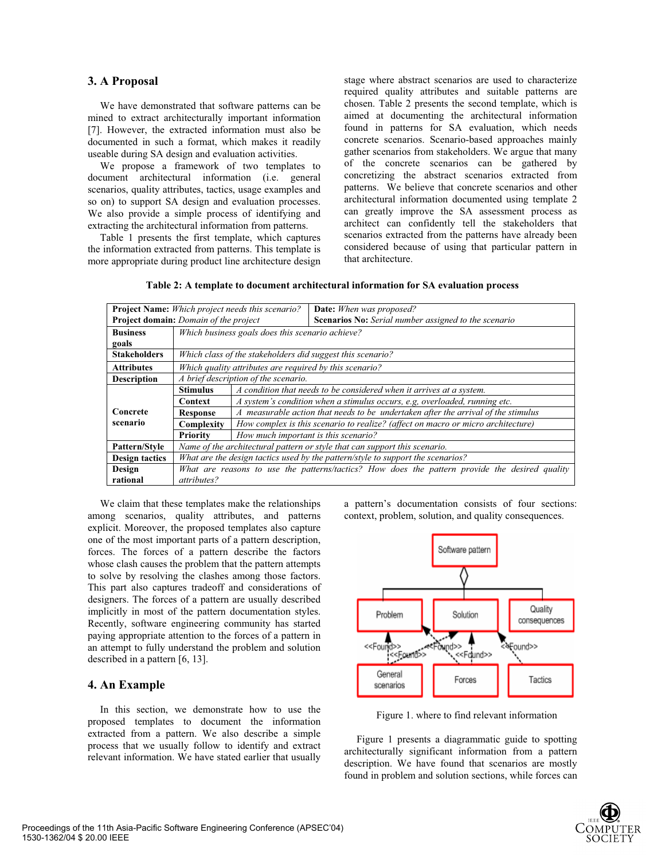# **3. A Proposal**

We have demonstrated that software patterns can be mined to extract architecturally important information [7]. However, the extracted information must also be documented in such a format, which makes it readily useable during SA design and evaluation activities.

We propose a framework of two templates to document architectural information (i.e. general scenarios, quality attributes, tactics, usage examples and so on) to support SA design and evaluation processes. We also provide a simple process of identifying and extracting the architectural information from patterns.

Table 1 presents the first template, which captures the information extracted from patterns. This template is more appropriate during product line architecture design stage where abstract scenarios are used to characterize required quality attributes and suitable patterns are chosen. Table 2 presents the second template, which is aimed at documenting the architectural information found in patterns for SA evaluation, which needs concrete scenarios. Scenario-based approaches mainly gather scenarios from stakeholders. We argue that many of the concrete scenarios can be gathered by concretizing the abstract scenarios extracted from patterns. We believe that concrete scenarios and other architectural information documented using template 2 can greatly improve the SA assessment process as architect can confidently tell the stakeholders that scenarios extracted from the patterns have already been considered because of using that particular pattern in that architecture.

| Table 2: A template to document architectural information for SA evaluation process |  |
|-------------------------------------------------------------------------------------|--|
|-------------------------------------------------------------------------------------|--|

| <b>Project Name:</b> Which project needs this scenario? |                                                                                                |                                                                                   | <b>Date:</b> When was proposed?                      |  |
|---------------------------------------------------------|------------------------------------------------------------------------------------------------|-----------------------------------------------------------------------------------|------------------------------------------------------|--|
| <b>Project domain:</b> Domain of the project            |                                                                                                |                                                                                   | Scenarios No: Serial number assigned to the scenario |  |
| <b>Business</b>                                         | Which business goals does this scenario achieve?                                               |                                                                                   |                                                      |  |
| goals                                                   |                                                                                                |                                                                                   |                                                      |  |
| <b>Stakeholders</b>                                     | Which class of the stakeholders did suggest this scenario?                                     |                                                                                   |                                                      |  |
| <b>Attributes</b>                                       | Which quality attributes are required by this scenario?                                        |                                                                                   |                                                      |  |
| <b>Description</b>                                      | A brief description of the scenario.                                                           |                                                                                   |                                                      |  |
|                                                         | <b>Stimulus</b>                                                                                | A condition that needs to be considered when it arrives at a system.              |                                                      |  |
|                                                         | Context                                                                                        | A system's condition when a stimulus occurs, e.g. overloaded, running etc.        |                                                      |  |
| Concrete                                                | Response                                                                                       | A measurable action that needs to be undertaken after the arrival of the stimulus |                                                      |  |
| scenario                                                | Complexity                                                                                     | How complex is this scenario to realize? (affect on macro or micro architecture)  |                                                      |  |
|                                                         | <b>Priority</b>                                                                                | How much important is this scenario?                                              |                                                      |  |
| Pattern/Style                                           | Name of the architectural pattern or style that can support this scenario.                     |                                                                                   |                                                      |  |
| <b>Design tactics</b>                                   | What are the design tactics used by the pattern/style to support the scenarios?                |                                                                                   |                                                      |  |
| Design                                                  | What are reasons to use the patterns/tactics? How does the pattern provide the desired quality |                                                                                   |                                                      |  |
| rational                                                | attributes?                                                                                    |                                                                                   |                                                      |  |

We claim that these templates make the relationships among scenarios, quality attributes, and patterns explicit. Moreover, the proposed templates also capture one of the most important parts of a pattern description, forces. The forces of a pattern describe the factors whose clash causes the problem that the pattern attempts to solve by resolving the clashes among those factors. This part also captures tradeoff and considerations of designers. The forces of a pattern are usually described implicitly in most of the pattern documentation styles. Recently, software engineering community has started paying appropriate attention to the forces of a pattern in an attempt to fully understand the problem and solution described in a pattern [6, 13].

## **4. An Example**

In this section, we demonstrate how to use the proposed templates to document the information extracted from a pattern. We also describe a simple process that we usually follow to identify and extract relevant information. We have stated earlier that usually a pattern's documentation consists of four sections: context, problem, solution, and quality consequences.



Figure 1. where to find relevant information

Figure 1 presents a diagrammatic guide to spotting architecturally significant information from a pattern description. We have found that scenarios are mostly found in problem and solution sections, while forces can

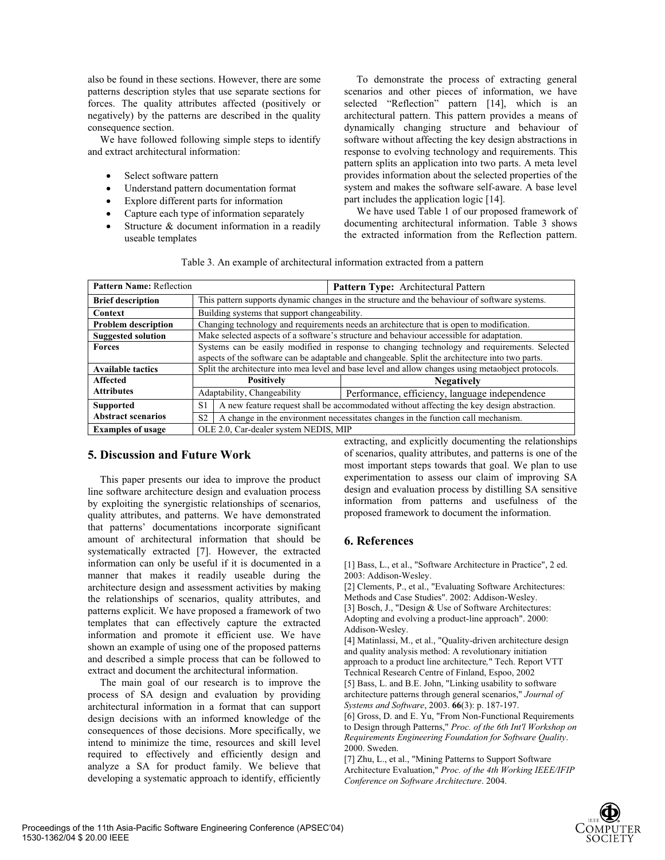also be found in these sections. However, there are some patterns description styles that use separate sections for forces. The quality attributes affected (positively or negatively) by the patterns are described in the quality consequence section.

We have followed following simple steps to identify and extract architectural information:

- Select software pattern
- Understand pattern documentation format
- x Explore different parts for information
- Capture each type of information separately
- Structure & document information in a readily useable templates

To demonstrate the process of extracting general scenarios and other pieces of information, we have selected "Reflection" pattern [14], which is an architectural pattern. This pattern provides a means of dynamically changing structure and behaviour of software without affecting the key design abstractions in response to evolving technology and requirements. This pattern splits an application into two parts. A meta level provides information about the selected properties of the system and makes the software self-aware. A base level part includes the application logic [14].

We have used Table 1 of our proposed framework of documenting architectural information. Table 3 shows the extracted information from the Reflection pattern.

| <b>Pattern Name: Reflection</b> |                                                                                                    |                                                                                  | Pattern Type: Architectural Pattern                                                       |  |
|---------------------------------|----------------------------------------------------------------------------------------------------|----------------------------------------------------------------------------------|-------------------------------------------------------------------------------------------|--|
| <b>Brief description</b>        | This pattern supports dynamic changes in the structure and the behaviour of software systems.      |                                                                                  |                                                                                           |  |
| Context                         | Building systems that support changeability.                                                       |                                                                                  |                                                                                           |  |
| <b>Problem description</b>      | Changing technology and requirements needs an architecture that is open to modification.           |                                                                                  |                                                                                           |  |
| <b>Suggested solution</b>       | Make selected aspects of a software's structure and behaviour accessible for adaptation.           |                                                                                  |                                                                                           |  |
| <b>Forces</b>                   | Systems can be easily modified in response to changing technology and requirements. Selected       |                                                                                  |                                                                                           |  |
|                                 | aspects of the software can be adaptable and changeable. Split the architecture into two parts.    |                                                                                  |                                                                                           |  |
| <b>Available tactics</b>        | Split the architecture into mea level and base level and allow changes using metaobject protocols. |                                                                                  |                                                                                           |  |
| <b>Affected</b>                 | <b>Positively</b>                                                                                  |                                                                                  | <b>Negatively</b>                                                                         |  |
| <b>Attributes</b>               | Adaptability, Changeability                                                                        |                                                                                  | Performance, efficiency, language independence                                            |  |
| <b>Supported</b>                | S <sub>1</sub>                                                                                     |                                                                                  | A new feature request shall be accommodated without affecting the key design abstraction. |  |
| <b>Abstract scenarios</b>       | S <sub>2</sub>                                                                                     | A change in the environment necessitates changes in the function call mechanism. |                                                                                           |  |
| <b>Examples of usage</b>        | OLE 2.0, Car-dealer system NEDIS, MIP                                                              |                                                                                  |                                                                                           |  |

Table 3. An example of architectural information extracted from a pattern

## **5. Discussion and Future Work**

This paper presents our idea to improve the product line software architecture design and evaluation process by exploiting the synergistic relationships of scenarios, quality attributes, and patterns. We have demonstrated that patterns' documentations incorporate significant amount of architectural information that should be systematically extracted [7]. However, the extracted information can only be useful if it is documented in a manner that makes it readily useable during the architecture design and assessment activities by making the relationships of scenarios, quality attributes, and patterns explicit. We have proposed a framework of two templates that can effectively capture the extracted information and promote it efficient use. We have shown an example of using one of the proposed patterns and described a simple process that can be followed to extract and document the architectural information.

The main goal of our research is to improve the process of SA design and evaluation by providing architectural information in a format that can support design decisions with an informed knowledge of the consequences of those decisions. More specifically, we intend to minimize the time, resources and skill level required to effectively and efficiently design and analyze a SA for product family. We believe that developing a systematic approach to identify, efficiently extracting, and explicitly documenting the relationships of scenarios, quality attributes, and patterns is one of the most important steps towards that goal. We plan to use experimentation to assess our claim of improving SA design and evaluation process by distilling SA sensitive information from patterns and usefulness of the proposed framework to document the information.

## **6. References**

[1] Bass, L., et al., "Software Architecture in Practice", 2 ed. 2003: Addison-Wesley.

[2] Clements, P., et al., "Evaluating Software Architectures:

Methods and Case Studies". 2002: Addison-Wesley.

[3] Bosch, J., "Design & Use of Software Architectures: Adopting and evolving a product-line approach". 2000: Addison-Wesley.

[4] Matinlassi, M., et al., "Quality-driven architecture design and quality analysis method: A revolutionary initiation approach to a product line architecture*,*" Tech. Report VTT

Technical Research Centre of Finland, Espoo, 2002 [5] Bass, L. and B.E. John, "Linking usability to software

architecture patterns through general scenarios," *Journal of Systems and Software*, 2003. **66**(3): p. 187-197.

[6] Gross, D. and E. Yu, "From Non-Functional Requirements to Design through Patterns," *Proc. of the 6th Int'l Workshop on Requirements Engineering Foundation for Software Quality*. 2000. Sweden.

[7] Zhu, L., et al., "Mining Patterns to Support Software Architecture Evaluation," *Proc. of the 4th Working IEEE/IFIP Conference on Software Architecture*. 2004.